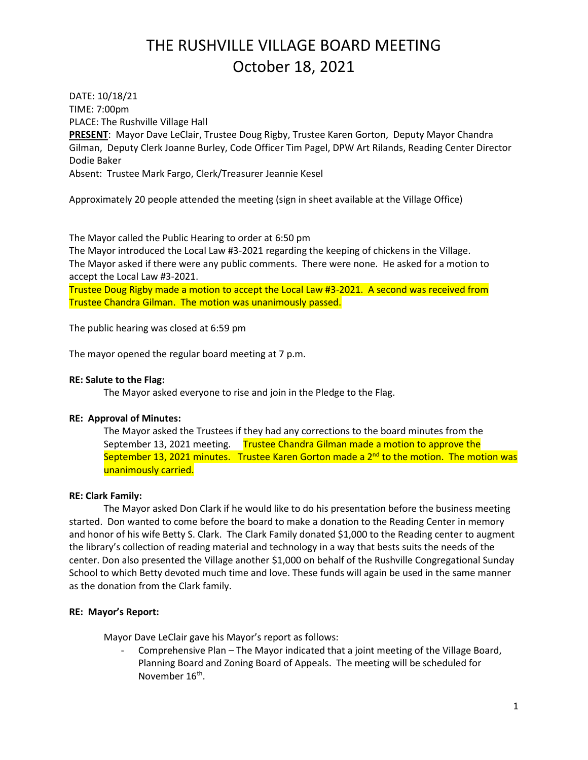DATE: 10/18/21 TIME: 7:00pm PLACE: The Rushville Village Hall **PRESENT**: Mayor Dave LeClair, Trustee Doug Rigby, Trustee Karen Gorton, Deputy Mayor Chandra Gilman, Deputy Clerk Joanne Burley, Code Officer Tim Pagel, DPW Art Rilands, Reading Center Director Dodie Baker Absent: Trustee Mark Fargo, Clerk/Treasurer Jeannie Kesel

Approximately 20 people attended the meeting (sign in sheet available at the Village Office)

The Mayor called the Public Hearing to order at 6:50 pm

The Mayor introduced the Local Law #3-2021 regarding the keeping of chickens in the Village. The Mayor asked if there were any public comments. There were none. He asked for a motion to accept the Local Law #3-2021.

Trustee Doug Rigby made a motion to accept the Local Law #3-2021. A second was received from Trustee Chandra Gilman. The motion was unanimously passed.

The public hearing was closed at 6:59 pm

The mayor opened the regular board meeting at 7 p.m.

#### **RE: Salute to the Flag:**

The Mayor asked everyone to rise and join in the Pledge to the Flag.

# **RE: Approval of Minutes:**

The Mayor asked the Trustees if they had any corrections to the board minutes from the September 13, 2021 meeting. Trustee Chandra Gilman made a motion to approve the September 13, 2021 minutes. Trustee Karen Gorton made a 2<sup>nd</sup> to the motion. The motion was unanimously carried.

# **RE: Clark Family:**

The Mayor asked Don Clark if he would like to do his presentation before the business meeting started. Don wanted to come before the board to make a donation to the Reading Center in memory and honor of his wife Betty S. Clark. The Clark Family donated \$1,000 to the Reading center to augment the library's collection of reading material and technology in a way that bests suits the needs of the center. Don also presented the Village another \$1,000 on behalf of the Rushville Congregational Sunday School to which Betty devoted much time and love. These funds will again be used in the same manner as the donation from the Clark family.

# **RE: Mayor's Report:**

Mayor Dave LeClair gave his Mayor's report as follows:

- Comprehensive Plan – The Mayor indicated that a joint meeting of the Village Board, Planning Board and Zoning Board of Appeals. The meeting will be scheduled for November 16<sup>th</sup>.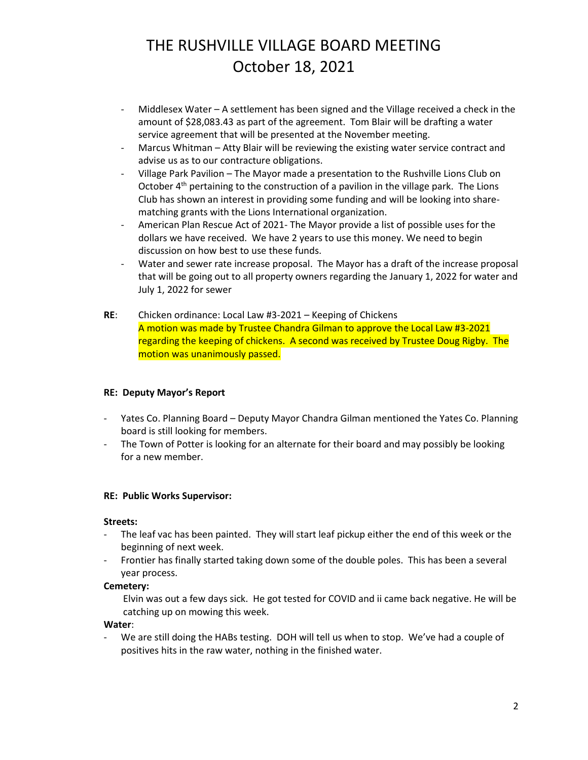- Middlesex Water A settlement has been signed and the Village received a check in the amount of \$28,083.43 as part of the agreement. Tom Blair will be drafting a water service agreement that will be presented at the November meeting.
- Marcus Whitman Atty Blair will be reviewing the existing water service contract and advise us as to our contracture obligations.
- Village Park Pavilion The Mayor made a presentation to the Rushville Lions Club on October  $4<sup>th</sup>$  pertaining to the construction of a pavilion in the village park. The Lions Club has shown an interest in providing some funding and will be looking into sharematching grants with the Lions International organization.
- American Plan Rescue Act of 2021- The Mayor provide a list of possible uses for the dollars we have received. We have 2 years to use this money. We need to begin discussion on how best to use these funds.
- Water and sewer rate increase proposal. The Mayor has a draft of the increase proposal that will be going out to all property owners regarding the January 1, 2022 for water and July 1, 2022 for sewer
- **RE**: Chicken ordinance: Local Law #3-2021 Keeping of Chickens A motion was made by Trustee Chandra Gilman to approve the Local Law #3-2021 regarding the keeping of chickens. A second was received by Trustee Doug Rigby. The motion was unanimously passed.

# **RE: Deputy Mayor's Report**

- Yates Co. Planning Board Deputy Mayor Chandra Gilman mentioned the Yates Co. Planning board is still looking for members.
- The Town of Potter is looking for an alternate for their board and may possibly be looking for a new member.

# **RE: Public Works Supervisor:**

# **Streets:**

- The leaf vac has been painted. They will start leaf pickup either the end of this week or the beginning of next week.
- Frontier has finally started taking down some of the double poles. This has been a several year process.

# **Cemetery:**

Elvin was out a few days sick. He got tested for COVID and ii came back negative. He will be catching up on mowing this week.

# **Water**:

We are still doing the HABs testing. DOH will tell us when to stop. We've had a couple of positives hits in the raw water, nothing in the finished water.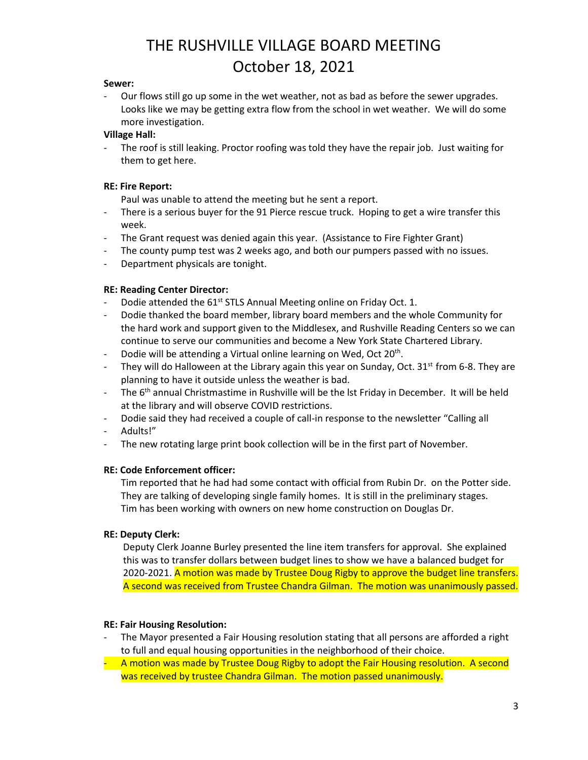#### **Sewer:**

Our flows still go up some in the wet weather, not as bad as before the sewer upgrades. Looks like we may be getting extra flow from the school in wet weather. We will do some more investigation.

# **Village Hall:**

The roof is still leaking. Proctor roofing was told they have the repair job. Just waiting for them to get here.

# **RE: Fire Report:**

Paul was unable to attend the meeting but he sent a report.

- There is a serious buyer for the 91 Pierce rescue truck. Hoping to get a wire transfer this week.
- The Grant request was denied again this year. (Assistance to Fire Fighter Grant)
- The county pump test was 2 weeks ago, and both our pumpers passed with no issues.
- Department physicals are tonight.

# **RE: Reading Center Director:**

- Dodie attended the 61<sup>st</sup> STLS Annual Meeting online on Friday Oct. 1.
- Dodie thanked the board member, library board members and the whole Community for the hard work and support given to the Middlesex, and Rushville Reading Centers so we can continue to serve our communities and become a New York State Chartered Library.
- Dodie will be attending a Virtual online learning on Wed, Oct 20<sup>th</sup>.
- They will do Halloween at the Library again this year on Sunday, Oct.  $31<sup>st</sup>$  from 6-8. They are planning to have it outside unless the weather is bad.
- The  $6<sup>th</sup>$  annual Christmastime in Rushville will be the lst Friday in December. It will be held at the library and will observe COVID restrictions.
- Dodie said they had received a couple of call-in response to the newsletter "Calling all
- Adults!"
- The new rotating large print book collection will be in the first part of November.

# **RE: Code Enforcement officer:**

Tim reported that he had had some contact with official from Rubin Dr. on the Potter side. They are talking of developing single family homes. It is still in the preliminary stages. Tim has been working with owners on new home construction on Douglas Dr.

# **RE: Deputy Clerk:**

Deputy Clerk Joanne Burley presented the line item transfers for approval. She explained this was to transfer dollars between budget lines to show we have a balanced budget for 2020-2021. A motion was made by Trustee Doug Rigby to approve the budget line transfers. A second was received from Trustee Chandra Gilman. The motion was unanimously passed.

# **RE: Fair Housing Resolution:**

- The Mayor presented a Fair Housing resolution stating that all persons are afforded a right to full and equal housing opportunities in the neighborhood of their choice.
- A motion was made by Trustee Doug Rigby to adopt the Fair Housing resolution. A second was received by trustee Chandra Gilman. The motion passed unanimously.